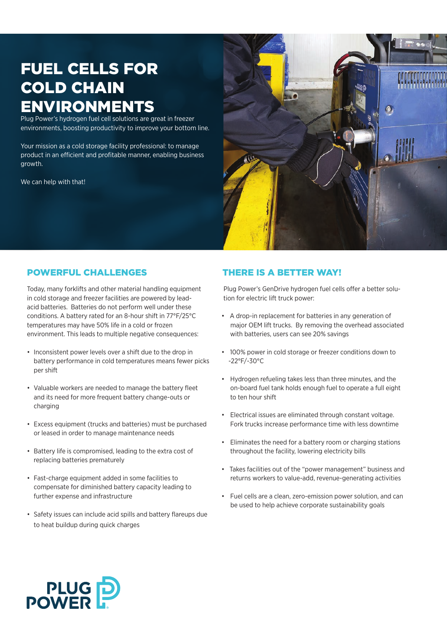# fuel cells for cold chain environments

Plug Power's hydrogen fuel cell solutions are great in freezer environments, boosting productivity to improve your bottom line.

Your mission as a cold storage facility professional: to manage product in an efficient and profitable manner, enabling business growth.

We can help with that!



# powerful challenges

Today, many forklifts and other material handling equipment in cold storage and freezer facilities are powered by leadacid batteries. Batteries do not perform well under these conditions. A battery rated for an 8-hour shift in 77°F/25°C temperatures may have 50% life in a cold or frozen environment. This leads to multiple negative consequences:

- Inconsistent power levels over a shift due to the drop in battery performance in cold temperatures means fewer picks per shift
- • Valuable workers are needed to manage the battery fleet and its need for more frequent battery change-outs or charging
- • Excess equipment (trucks and batteries) must be purchased or leased in order to manage maintenance needs
- Battery life is compromised, leading to the extra cost of replacing batteries prematurely
- • Fast-charge equipment added in some facilities to compensate for diminished battery capacity leading to further expense and infrastructure
- • Safety issues can include acid spills and battery flareups due to heat buildup during quick charges

# There is a better way!

Plug Power's GenDrive hydrogen fuel cells offer a better solution for electric lift truck power:

- • A drop-in replacement for batteries in any generation of major OEM lift trucks. By removing the overhead associated with batteries, users can see 20% savings
- • 100% power in cold storage or freezer conditions down to -22°F/-30°C
- • Hydrogen refueling takes less than three minutes, and the on-board fuel tank holds enough fuel to operate a full eight to ten hour shift
- • Electrical issues are eliminated through constant voltage. Fork trucks increase performance time with less downtime
- • Eliminates the need for a battery room or charging stations throughout the facility, lowering electricity bills
- • Takes facilities out of the "power management" business and returns workers to value-add, revenue-generating activities
- • Fuel cells are a clean, zero-emission power solution, and can be used to help achieve corporate sustainability goals